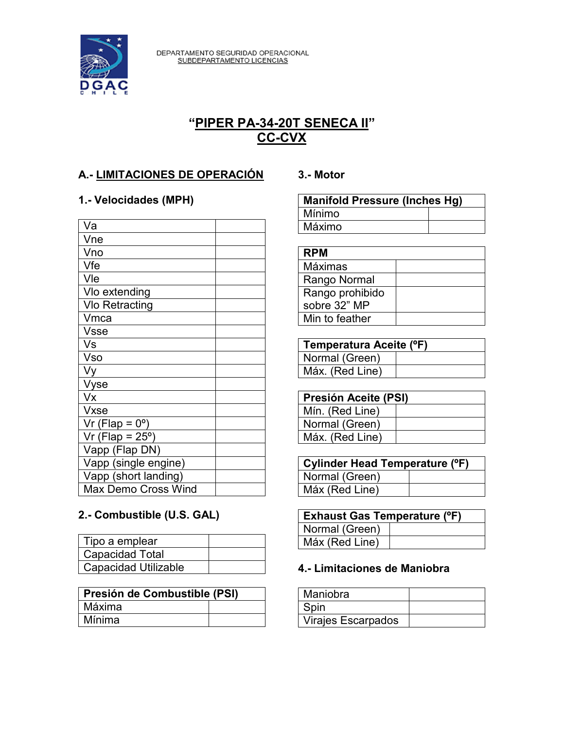

DEPARTAMENTO SEGURIDAD OPERACIONAL<br>SUBDEPARTAMENTO LICENCIAS

# **"PIPER PA-34-20T SENECA II" CC-CVX**

## **A.- LIMITACIONES DE OPERACIÓN**

### **1.- Velocidades (MPH)**

| Va                         |  |
|----------------------------|--|
| Vne                        |  |
| Vno                        |  |
| Vfe                        |  |
| Vle                        |  |
| Vlo extending              |  |
| <b>Vlo Retracting</b>      |  |
| Vmca                       |  |
| <b>Vsse</b>                |  |
| Vs                         |  |
| Vso                        |  |
| Vy                         |  |
| Vyse                       |  |
| Vx                         |  |
| <b>Vxse</b>                |  |
| Vr (Flap = $0^\circ$ )     |  |
| Vr (Flap = $25^\circ$ )    |  |
| Vapp (Flap DN)             |  |
| Vapp (single engine)       |  |
| Vapp (short landing)       |  |
| <b>Max Demo Cross Wind</b> |  |

## **2.- Combustible (U.S. GAL)**

| Tipo a emplear              |  |
|-----------------------------|--|
| <b>Capacidad Total</b>      |  |
| <b>Capacidad Utilizable</b> |  |

| Presión de Combustible (PSI) |  |
|------------------------------|--|
| Máxima                       |  |
| Mínima                       |  |

#### **3.- Motor**

| <b>Manifold Pressure (Inches Hg)</b> |  |
|--------------------------------------|--|
| Mínimo                               |  |
| Máximo                               |  |

| <b>RPM</b>      |  |
|-----------------|--|
| Máximas         |  |
| Rango Normal    |  |
| Rango prohibido |  |
| sobre 32" MP    |  |
| Min to feather  |  |

| Temperatura Aceite (°F) |  |
|-------------------------|--|
| Normal (Green)          |  |
| Máx. (Red Line)         |  |

| <b>Presión Aceite (PSI)</b> |  |
|-----------------------------|--|
| Mín. (Red Line)             |  |
| Normal (Green)              |  |
| Máx. (Red Line)             |  |

| Cylinder Head Temperature (°F) |  |
|--------------------------------|--|
| Normal (Green)                 |  |
| Máx (Red Line)                 |  |

| <b>Exhaust Gas Temperature (°F)</b> |  |
|-------------------------------------|--|
| Normal (Green)                      |  |
| Máx (Red Line)                      |  |

### **4.- Limitaciones de Maniobra**

| Maniobra                  |  |
|---------------------------|--|
| Spin                      |  |
| <b>Virajes Escarpados</b> |  |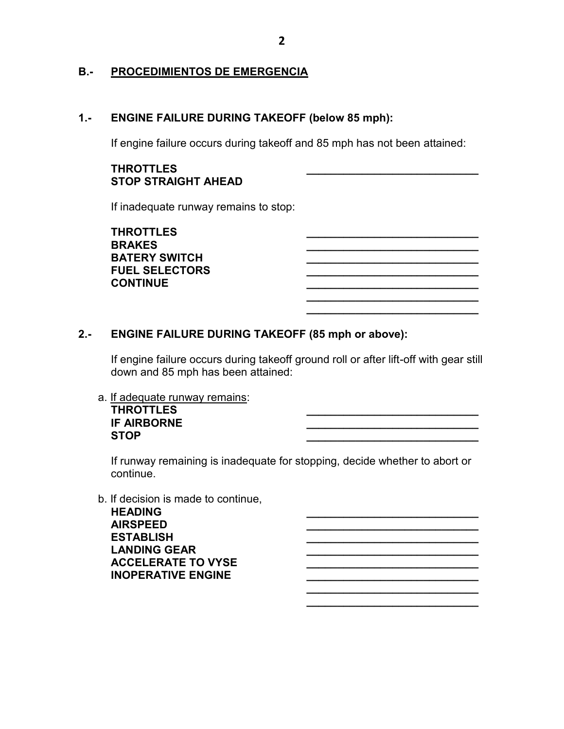#### **B.- PROCEDIMIENTOS DE EMERGENCIA**

#### **1.- ENGINE FAILURE DURING TAKEOFF (below 85 mph):**

If engine failure occurs during takeoff and 85 mph has not been attained:

#### **THROTTLES \_\_\_\_\_\_\_\_\_\_\_\_\_\_\_\_\_\_\_\_\_\_\_\_\_\_\_\_ STOP STRAIGHT AHEAD**

If inadequate runway remains to stop:

**THROTTLES \_\_\_\_\_\_\_\_\_\_\_\_\_\_\_\_\_\_\_\_\_\_\_\_\_\_\_\_ BRAKES \_\_\_\_\_\_\_\_\_\_\_\_\_\_\_\_\_\_\_\_\_\_\_\_\_\_\_\_ BATERY SWITCH \_\_\_\_\_\_\_\_\_\_\_\_\_\_\_\_\_\_\_\_\_\_\_\_\_\_\_\_ FUEL SELECTORS with a set of the set of the set of the set of the set of the set of the set of the set of the set of the set of the set of the set of the set of the set of the set of the set of the set of the set of the CONTINUE \_\_\_\_\_\_\_\_\_\_\_\_\_\_\_\_\_\_\_\_\_\_\_\_\_\_\_\_**

#### **2.- ENGINE FAILURE DURING TAKEOFF (85 mph or above):**

If engine failure occurs during takeoff ground roll or after lift-off with gear still down and 85 mph has been attained:

**\_\_\_\_\_\_\_\_\_\_\_\_\_\_\_\_\_\_\_\_\_\_\_\_\_\_\_\_ \_\_\_\_\_\_\_\_\_\_\_\_\_\_\_\_\_\_\_\_\_\_\_\_\_\_\_\_**

**\_\_\_\_\_\_\_\_\_\_\_\_\_\_\_\_\_\_\_\_\_\_\_\_\_\_\_\_ \_\_\_\_\_\_\_\_\_\_\_\_\_\_\_\_\_\_\_\_\_\_\_\_\_\_\_\_**

a. If adequate runway remains: **THROTTLES \_\_\_\_\_\_\_\_\_\_\_\_\_\_\_\_\_\_\_\_\_\_\_\_\_\_\_\_ IF AIRBORNE \_\_\_\_\_\_\_\_\_\_\_\_\_\_\_\_\_\_\_\_\_\_\_\_\_\_\_\_**

**STOP \_\_\_\_\_\_\_\_\_\_\_\_\_\_\_\_\_\_\_\_\_\_\_\_\_\_\_\_**

If runway remaining is inadequate for stopping, decide whether to abort or continue.

b. If decision is made to continue,

**HEADING \_\_\_\_\_\_\_\_\_\_\_\_\_\_\_\_\_\_\_\_\_\_\_\_\_\_\_\_ AIRSPEED \_\_\_\_\_\_\_\_\_\_\_\_\_\_\_\_\_\_\_\_\_\_\_\_\_\_\_\_ ESTABLISH \_\_\_\_\_\_\_\_\_\_\_\_\_\_\_\_\_\_\_\_\_\_\_\_\_\_\_\_ LANDING GEAR \_\_\_\_\_\_\_\_\_\_\_\_\_\_\_\_\_\_\_\_\_\_\_\_\_\_\_\_ ACCELERATE TO VYSE \_\_\_\_\_\_\_\_\_\_\_\_\_\_\_\_\_\_\_\_\_\_\_\_\_\_\_\_ INOPERATIVE ENGINE \_\_\_\_\_\_\_\_\_\_\_\_\_\_\_\_\_\_\_\_\_\_\_\_\_\_\_\_**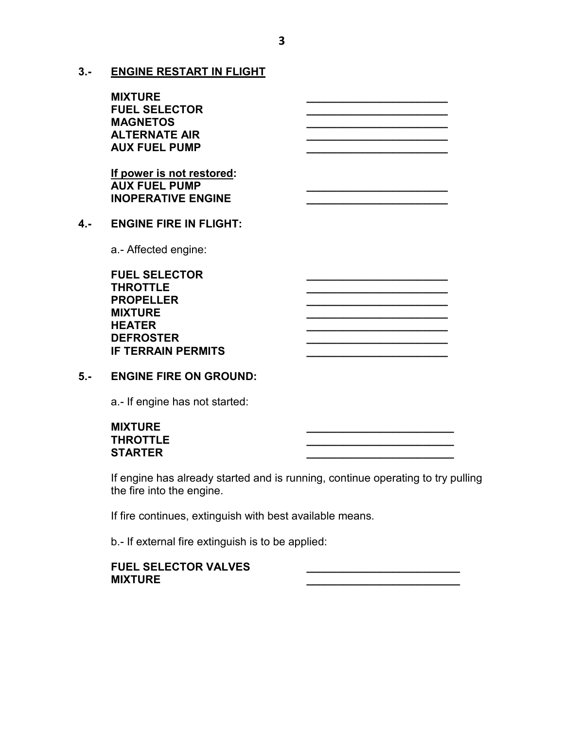**3.- ENGINE RESTART IN FLIGHT**

|     | <b>MIXTURE</b><br><b>FUEL SELECTOR</b><br><b>MAGNETOS</b><br><b>ALTERNATE AIR</b><br><b>AUX FUEL PUMP</b><br>If power is not restored:<br><b>AUX FUEL PUMP</b><br><b>INOPERATIVE ENGINE</b> |  |
|-----|---------------------------------------------------------------------------------------------------------------------------------------------------------------------------------------------|--|
| 4.- | <b>ENGINE FIRE IN FLIGHT:</b>                                                                                                                                                               |  |
|     | a.- Affected engine:                                                                                                                                                                        |  |
|     | <b>FUEL SELECTOR</b><br><b>THROTTLE</b><br><b>PROPELLER</b><br><b>MIXTURE</b><br><b>HEATER</b><br><b>DEFROSTER</b><br><b>IF TERRAIN PERMITS</b>                                             |  |

#### **5.- ENGINE FIRE ON GROUND:**

a.- If engine has not started:

#### **MIXTURE \_\_\_\_\_\_\_\_\_\_\_\_\_\_\_\_\_\_\_\_\_\_\_\_ THROTTLE \_\_\_\_\_\_\_\_\_\_\_\_\_\_\_\_\_\_\_\_\_\_\_\_ STARTER \_\_\_\_\_\_\_\_\_\_\_\_\_\_\_\_\_\_\_\_\_\_\_\_**

If engine has already started and is running, continue operating to try pulling the fire into the engine.

If fire continues, extinguish with best available means.

b.- If external fire extinguish is to be applied:

#### FUEL SELECTOR VALVES **MIXTURE \_\_\_\_\_\_\_\_\_\_\_\_\_\_\_\_\_\_\_\_\_\_\_\_\_**